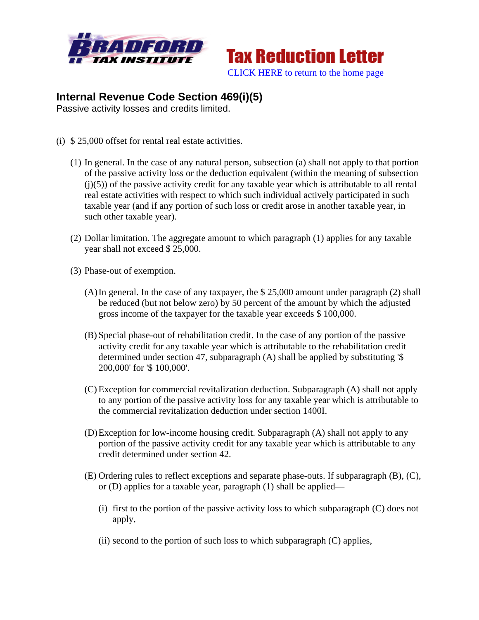



## **Internal Revenue Code Section 469(i)(5)**

Passive activity losses and credits limited.

- (i) \$ 25,000 offset for rental real estate activities.
	- (1) In general. In the case of any natural person, subsection (a) shall not apply to that portion of the passive activity loss or the deduction equivalent (within the meaning of subsection  $(j)(5)$ ) of the passive activity credit for any taxable year which is attributable to all rental real estate activities with respect to which such individual actively participated in such taxable year (and if any portion of such loss or credit arose in another taxable year, in such other taxable year).
	- (2) Dollar limitation. The aggregate amount to which paragraph (1) applies for any taxable year shall not exceed \$ 25,000.
	- (3) Phase-out of exemption.
		- (A)In general. In the case of any taxpayer, the \$ 25,000 amount under paragraph (2) shall be reduced (but not below zero) by 50 percent of the amount by which the adjusted gross income of the taxpayer for the taxable year exceeds \$ 100,000.
		- (B) Special phase-out of rehabilitation credit. In the case of any portion of the passive activity credit for any taxable year which is attributable to the rehabilitation credit determined under section 47, subparagraph (A) shall be applied by substituting '\$ 200,000' for '\$ 100,000'.
		- (C) Exception for commercial revitalization deduction. Subparagraph (A) shall not apply to any portion of the passive activity loss for any taxable year which is attributable to the commercial revitalization deduction under section 1400I.
		- (D)Exception for low-income housing credit. Subparagraph (A) shall not apply to any portion of the passive activity credit for any taxable year which is attributable to any credit determined under section 42.
		- (E) Ordering rules to reflect exceptions and separate phase-outs. If subparagraph (B), (C), or (D) applies for a taxable year, paragraph (1) shall be applied—
			- (i) first to the portion of the passive activity loss to which subparagraph (C) does not apply,
			- (ii) second to the portion of such loss to which subparagraph (C) applies,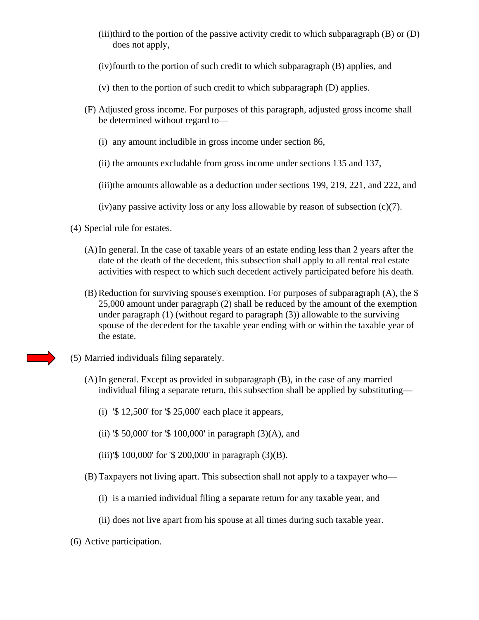- (iii)third to the portion of the passive activity credit to which subparagraph (B) or (D) does not apply,
- (iv)fourth to the portion of such credit to which subparagraph (B) applies, and
- (v) then to the portion of such credit to which subparagraph (D) applies.
- (F) Adjusted gross income. For purposes of this paragraph, adjusted gross income shall be determined without regard to—
	- (i) any amount includible in gross income under section 86,
	- (ii) the amounts excludable from gross income under sections 135 and 137,

(iii)the amounts allowable as a deduction under sections 199, 219, 221, and 222, and

(iv)any passive activity loss or any loss allowable by reason of subsection (c)(7).

- (4) Special rule for estates.
	- (A)In general. In the case of taxable years of an estate ending less than 2 years after the date of the death of the decedent, this subsection shall apply to all rental real estate activities with respect to which such decedent actively participated before his death.
	- (B) Reduction for surviving spouse's exemption. For purposes of subparagraph (A), the \$ 25,000 amount under paragraph (2) shall be reduced by the amount of the exemption under paragraph (1) (without regard to paragraph (3)) allowable to the surviving spouse of the decedent for the taxable year ending with or within the taxable year of the estate.
- (5) Married individuals filing separately.
	- (A)In general. Except as provided in subparagraph (B), in the case of any married individual filing a separate return, this subsection shall be applied by substituting—
		- (i) '\$ 12,500' for '\$ 25,000' each place it appears,
		- (ii) '\$ 50,000' for '\$ 100,000' in paragraph  $(3)(A)$ , and
		- (iii)'\$ 100,000' for '\$ 200,000' in paragraph (3)(B).
	- (B) Taxpayers not living apart. This subsection shall not apply to a taxpayer who—
		- (i) is a married individual filing a separate return for any taxable year, and
		- (ii) does not live apart from his spouse at all times during such taxable year.
- (6) Active participation.